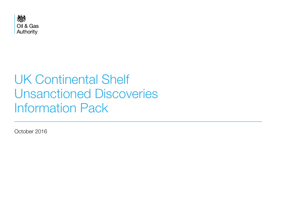

# UK Continental Shelf Unsanctioned Discoveries Information Pack

October 2016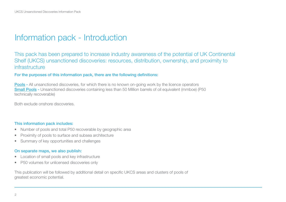### Information pack - Introduction

This pack has been prepared to increase industry awareness of the potential of UK Continental Shelf (UKCS) unsanctioned discoveries: resources, distribution, ownership, and proximity to infrastructure

#### For the purposes of this information pack, there are the following definitions:

**Pools -** All unsanctioned discoveries, for which there is no known on-going work by the licence operators Small Pools - Unsanctioned discoveries containing less than 50 Million barrels of oil equivalent (mmboe) (P50 technically recoverable)

Both exclude onshore discoveries.

#### This information pack includes:

- Number of pools and total P50 recoverable by geographic area
- Proximity of pools to surface and subsea architecture
- Summary of key opportunities and challenges

#### On separate maps, we also publish:

- Location of small pools and key infrastructure
- P50 volumes for unlicensed discoveries only

This publication will be followed by additional detail on specific UKCS areas and clusters of pools of greatest economic potential.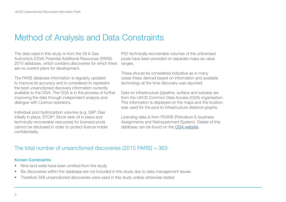### Method of Analysis and Data Constraints

The data used in this study is from the Oil & Gas Authority's (OGA) Potential Additional Resources (PARS) 2015 database, which contains discoveries for which there are no current plans for development.

The PARS database information is regularly updated to improve its accuracy and is considered to represent the best unsanctioned discovery information currently available to the OGA. The OGA is in the process of further improving the data through independent analysis and dialogue with Licence operators.

Individual pool hydrocarbon volumes (e.g. GIIP: Gas initially in place, STOIP: Stock tank oil in place and technically recoverable resources) for licensed pools cannot be disclosed in order to protect licence holder confidentiality.

P50 technically recoverable volumes of the unlicensed pools have been provided on separate maps as value ranges.

These should be considered indicative as in many cases these derived based on information and available technology at the time discovery was reported.

Data on infrastructure (pipeline, surface and subsea) are from the UKCS Common Data Access (CDA) organisation. This information is displayed on the maps and the location was used for the pool to infrastructure distance graphs.

Licensing data is from PEARS (Petroleum E-business Assignments and Relinquishment System). Details of this database can be found on the [OGA website.](https://www.ogauthority.co.uk/)

### The total number of unsanctioned discoveries (2015 PARS) = 363

#### Known Constraints:

- Nine land wells have been omitted from the study
- Six discoveries within the database are not included in this study due to data management issues
- Therefore 348 unsanctioned discoveries were used in this study unless otherwise stated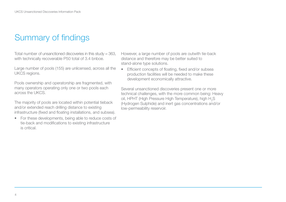## Summary of findings

Total number of unsanctioned discoveries in this study = 363, with technically recoverable P50 total of 3.4 bnboe.

Large number of pools (155) are unlicensed, across all the UKCS regions.

Pools ownership and operatorship are fragmented, with many operators operating only one or two pools each across the UKCS.

The majority of pools are located within potential tieback and/or extended reach drilling distance to existing infrastructure (fixed and floating installations, and subsea).

• For these developments, being able to reduce costs of tie-back and modifications to existing infrastructure is critical.

However, a large number of pools are outwith tie-back distance and therefore may be better suited to stand-alone type solutions.

• Efficient concepts of floating, fixed and/or subsea production facilities will be needed to make these development economically attractive.

Several unsanctioned discoveries present one or more technical challenges, with the more common being: Heavy oil, HPHT (High Pressure High Temperature), high  $H<sub>2</sub>S$ (Hydrogen Sulphide) and inert gas concentrations and/or low-permeability reservoir.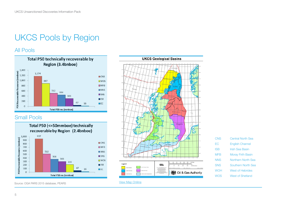## UKCS Pools by Region

#### All Pools



### Small Pools



Source: OGA PARS 2015 database, PEARS



#### [View Map Onliine](https://itportal.decc.gov.uk/web_files/gis/ukcs_maps/UKCS_Geological_Basins)

| CNS        | <b>Central North Sea</b>  |
|------------|---------------------------|
| EС         | <b>English Channel</b>    |
| ISB        | <b>Irish Sea Basin</b>    |
| <b>MFB</b> | Moray Firth Basin         |
| <b>NNS</b> | <b>Northern North Sea</b> |
| <b>SNS</b> | Southern North Sea        |
| <b>WOH</b> | West of Hebrides          |
| WOS        | <b>West of Shetland</b>   |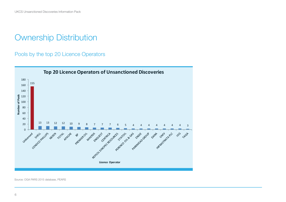Pools by the top 20 Licence Operators



Source: OGA PARS 2015 database, PEARS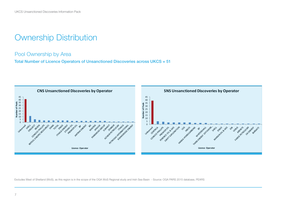#### Pool Ownership by Area

Total Number of Licence Operators of Unsanctioned Discoveries across UKCS = 51



Excludes West of Shetland (WoS), as this region is in the scope of the OGA WoS Regional study and Irish Sea Basin - Source: OGA PARS 2015 database, PEARS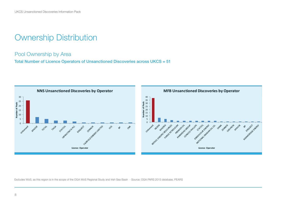#### Pool Ownership by Area

Total Number of Licence Operators of Unsanctioned Discoveries across UKCS = 51



Excludes WoS, as this region is in the scope of the OGA WoS Regional Study and Irish Sea Basin - Source: OGA PARS 2015 database, PEARS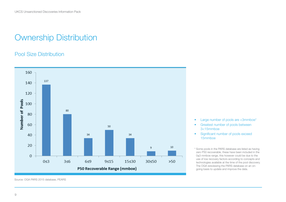### Pool Size Distribution



• Large number of pools are <3mmboe\*

- Greatest number of pools between 3<15mmboe
- Significant number of pools exceed 15mmboe

\* Some pools in the PARS database are listed as having zero P50 recoverable, these have been included in the 0≤3 mmboe range, this however could be due to the use of low recovery factors according to concepts and technologies available at the time of the pool discovery. The OGA isreviewing the PARS database on an ongoing basis to update and improve the data.

Source: OGA PARS 2015 database, PEARS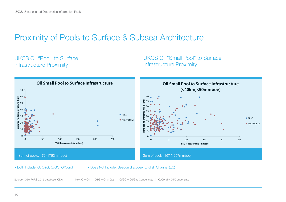### Proximity of Pools to Surface & Subsea Architecture

### UKCS Oil "Pool" to Surface Infrastructure Proximity

UKCS Oil "Small Pool" to Surface Infrastructure Proximity



• Both Include: O, O&G, O/GC, O/Cond • Does Not Include: Beacon discovery English Channel (EC)

Source: OGA PARS 2015 database, CDA Key: O = Oil | O&G = Oil & Gas | O/GC = Oil/Gas Condensate | O/Cond = Oil/Condensate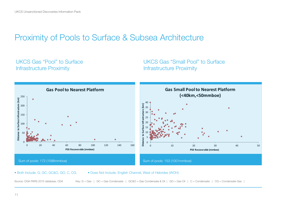### Proximity of Pools to Surface & Subsea Architecture

### UKCS Gas "Pool" to Surface Infrastructure Proximity

UKCS Gas "Small Pool" to Surface Infrastructure Proximity



• Both Include: G, GC, GC&O, GO, C, CG. • Does Not Include: English Channel, West of Hebrides (WOH)

Source: OGA PARS 2015 database, CDA Key: G = Gas | GC = Gas Condensate | GC&O = Gas Condensate & Oil | GO = Gas Oil | C = Condensate | CG = Condensate Gas |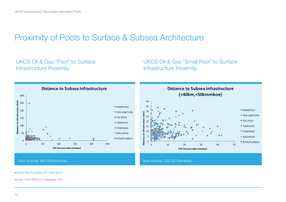### Proximity of Pools to Surface & Subsea Architecture

### UKCS Oil & Gas "Pool" to Surface Infrastructure Proximity

### UKCS Oil & Gas "Small Pool" to Surface Infrastructure Proximity



#### •Does Not Include: EC and WoH

Source: OGA PARS 2015 database, CDA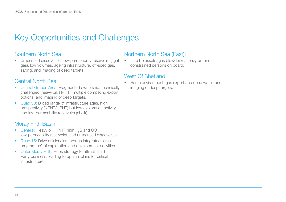## Key Opportunities and Challenges

### Southern North Sea:

• Unlicensed discoveries, low-permeability reservoirs (tight gas), low volumes, ageing infrastructure, off-spec gas, salting, and imaging of deep targets.

### Central North Sea:

- Central Graben Area: Fragmented ownership, technically challenged (heavy oil, HPHT), multiple competing export options, and imaging of deep targets.
- Quad 30: Broad range of infrastructure ages, high prospectivity (NPNT/HPHT) but low exploration activity, and low-permeability reservoirs (chalk).

### Moray Firth Basin:

- General: Heavy oil, HPHT, high  $H_2S$  and  $CO_2$ , low-permeability reservoirs, and unlicensed discoveries.
- Quad 15: Drive efficiencies through integrated "area programme" of exploration and development activities.
- Outer Moray Firth: Hubs strategy to attract Third Party business, leading to optimal plans for critical infrastructure.

#### Northern North Sea (East):

• Late life assets, gas blowdown, heavy oil, and constrained persons on board.

#### West Of Shetland<sup>.</sup>

• Harsh environment, gas export and deep water, and imaging of deep targets.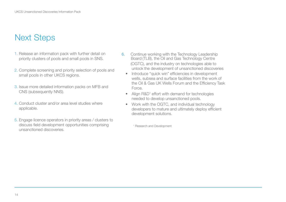## Next Steps

- 1. Release an information pack with further detail on priority clusters of pools and small pools in SNS.
- 2. Complete screening and priority selection of pools and small pools in other UKCS regions.
- 3. Issue more detailed information packs on MFB and CNS (subsequently NNS).
- 4. Conduct cluster and/or area level studies where applicable.
- 5. Engage licence operators in priority areas / clusters to discuss field development opportunities comprising unsanctioned discoveries.
- 6. Continue working with the Technology Leadership Board (TLB), the Oil and Gas Technology Centre (OGTC), and the industry on technologies able to unlock the development of unsanctioned discoveries
	- Introduce "quick win" efficiencies in development wells, subsea and surface facilities from the work of the Oil & Gas UK Wells Forum and the Efficiency Task Force.
	- Align R&D<sup>1</sup> effort with demand for technologies needed to develop unsanctioned pools.
	- Work with the OGTC, and individual technology developers to mature and ultimately deploy efficient development solutions.

1 Research and Development